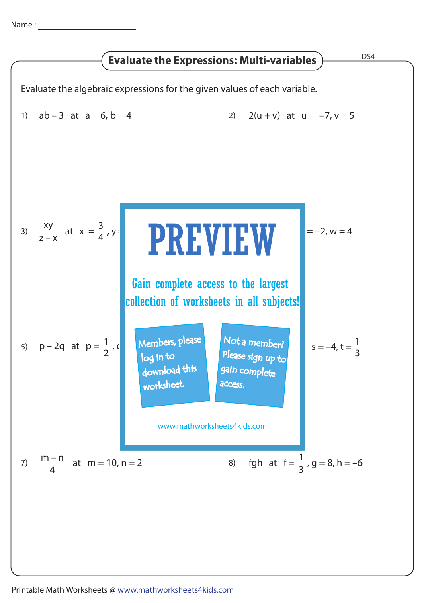